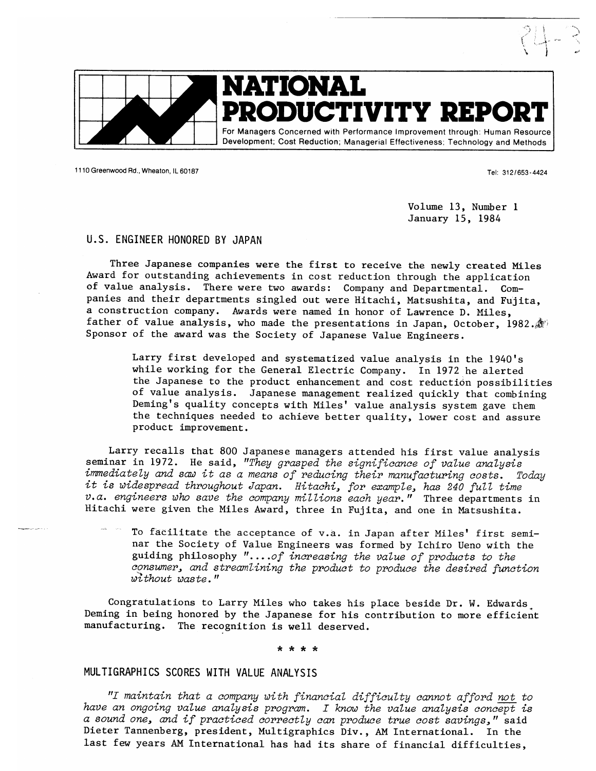

1110 Greenwood Rd., Wheaton, IL 60187

Tel: 312/653-4424

Volume 13, Number 1 January 15, 1984

### U.S. ENGINEER HONORED BY JAPAN

Three Japanese companies were the first to receive the newly created Miles Award for outstanding achievements in cost reduction through the application of value analysis. There were two awards: Company and Departmental. Companies and their departments singled out were Hitachi, Matsushita, and Fujita, a construction company. Awards were named in honor of Lawrence D. Miles, father of value analysis, who made the presentations in Japan, October, 1982. Sponsor of the award was the Society of Japanese Value Engineers.

Larry first developed and systematized value analysis in the 1940's while working for the General Electric Company. In 1972 he alerted the Japanese to the product enhancement and cost reduction possibilities of value analysis. Japanese management realized quickly that combining Deming's quality concepts with Miles' value analysis system gave them the techniques needed to achieve better quality, lower cost and assure product improvement.

Larry recalls that 800 Japanese managers attended his first value analysis seminar in 1972. He said, "They grasped the significance of value analysis immediately and saw it as a means of reducing their manufacturing costs. Today it is widespread throughout Japan. Hitachi, for example, has 240 full time  $v.a.$  engineers who save the company millions each year." Three departments in Hitachi were given the Miles Award, three in Fujita, and one in Matsushita.

To facilitate the acceptance of v.a. in Japan after Miles' first seminar the Society of Value Engineers was formed by Ichiro Ueno with the guiding philosophy "....of increasing the value of products to the consumer, and streamlining the product to produce the desired function without waste."

Congratulations to Larry Miles who takes his place beside Dr. W. Edwards Deming in being honored by the Japanese for his contribution to more efficient manufacturing. The recognition is well deserved.

\* \* \* \*

# MULTIGRAPHICS SCORES WITH VALUE ANALYSIS

"I maintain that a company with financial difficulty cannot afford not to have an ongoing value analysis program. I know the value analysis concept is a sound one, and if practiced correctly can produce true cost savings," said Dieter Tannenberg, president, Multigraphics Div., AM International. In the last few years AM International has had its share of financial difficulties,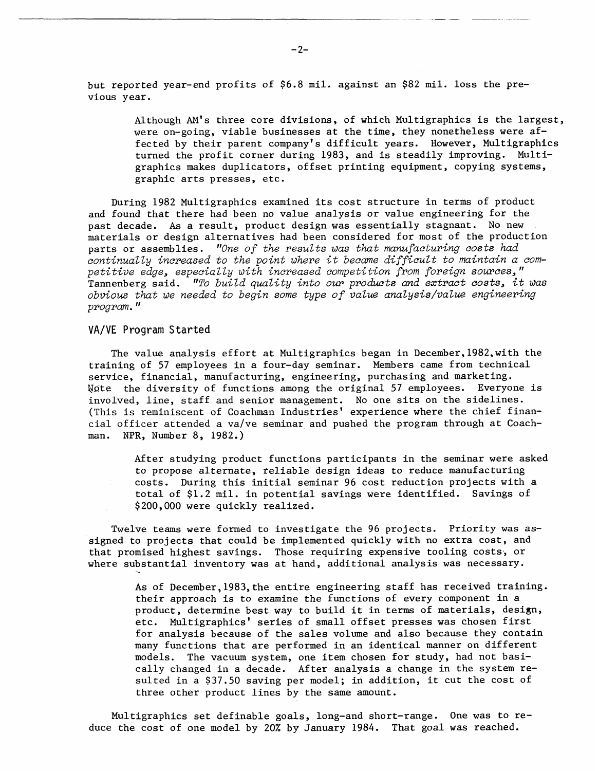but reported year-end profits of \$6.8 mil. against an \$82 mil. loss the previous year.

> Although AM'S three core divisions, of which Multigraphics is the largest, were on-going, viable businesses at the time, they nonetheless were affected by their parent company's difficult years. However, Multigraphics turned the profit corner during 1983, and is steadily improving. Multigraphics makes duplicators, offset printing equipment, copying systems, graphic arts presses, etc.

During 1982 Multigraphics examined its cost structure in terms of product and found that there had been no value analysis or value engineering for the past decade. As a result, product design was essentially stagnant. No new materials or design alternatives had been considered for most of the production parts or assemblies. *"One of the results was that manufacturing costs had continualty increased to the point where it became difficult to maintain a competitive edge, especiatty with increased competition from foreign sources,* " Tannenberg said. "To *build quality into our products* mrd *extract costs, it was obvious that we needed to begin some type of value anaZysis/vatue engineering program.* 

## **VA/VE** Program Started

The value analysis effort at Multigraphics began in December, 1982, with the training of 57 employees in a four-day seminar. Members came from technical service, financial, manufacturing, engineering, purchasing and marketing. **Wdte** the diversity of functions among the original 57 employees. Everyone is involved, line, staff and senior management. No one sits on the sidelines. (This is reminiscent of Coachman Industries' experience where the chief financial officer attended a valve seminar and pushed the program through at Coachman. **NPR,** Number 8, 1982.)

After studying product functions participants in the seminar were asked to propose alternate, reliable design ideas to reduce manufacturing costs. During this initial seminar 96 cost reduction projects with a total of \$1.2 mil. in potential savings were identified. Savings of \$200,000 were quickly realized.

Twelve teams were formed to investigate the 96 projects. Priority was assigned to projects that could be implemented quickly with no extra cost, and that promised highest savings. Those requiring expensive tooling costs; or where substantial inventory was at hand, additional analysis was necessary.

> As of December,l983,the entire engineering staff has received training. their approach is to examine the functions of every component in a product, determine best way to build it in terms of materials, design, etc. Multigraphics' series of small offset presses was chosen first for analysis because of the sales volume and also because they contain many functions that are performed in an identical manner on different models. The vacuum system, one item chosen for study, had not basically changed in a decade. After analysis a change in the system resulted in a \$37.50 saving per model; in addition, it cut the cost of three other product lines by the same amount.

Multigraphics set definable goals, long-and short-range. One was to reduce the cost of one model by 20% by January 1984. That goal was reached.

 $-2-$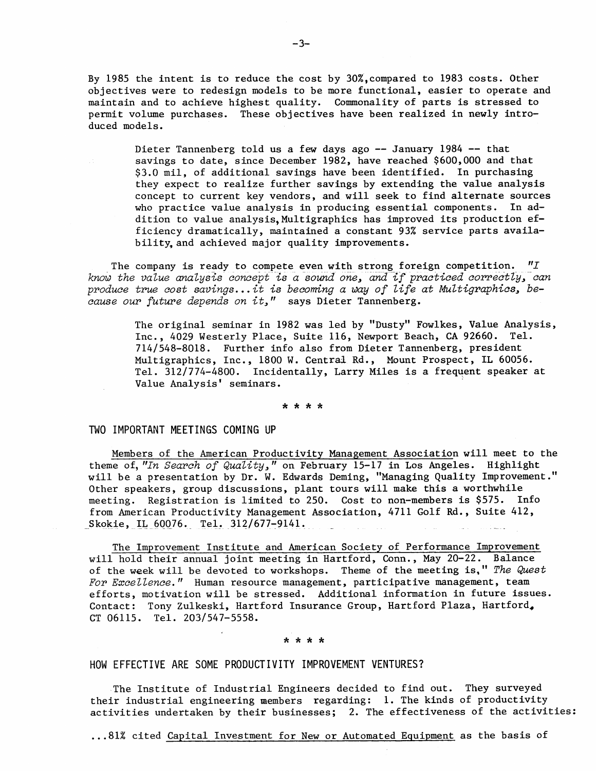By 1985 the intent is to reduce the cost by 30%,compared to 1983 costs. Other objectives were to redesign models to be more functional, easier to operate and maintain and to achieve highest quality. Commonality of parts is stressed to permit volume purchases. These objectives have been realized in newly introduced models.

> Dieter Tannenberg told us a few days ago -- January 1984 -- that savings to date, since December 1982, have reached \$600,000 and that \$3.0 mil, of additional savings have been identified. In purchasing they expect to realize further savings by extending the value analysis concept to current key vendors, and will seek to find alternate sources who practice value analysis in producing essential components. In addition to value analysis. Multigraphics has improved its production efficiency dramatically, maintained a constant 93% service parts availab ility, and achieved major quality improvements.

The company is ready to compete even with strong foreign competition.  $"I$ *know the value analysis concept is a sound one, and if practiced correctly, can produce true cost savings.* . . *it is becoming a* wzy of *life at Multigraphics, because our future depends on it,"* says Dieter Tannenberg.

> The original seminar in 1982 was led by "Dusty" Fowlkes, Value Analysis, Inc., 4029 Westerly Place, Suite 116, Newport Beach, CA 92660. Tel. 7141548-8018. Further info also from Dieter Tannenberg, president Multigraphics, Inc., 1800 W. Central Rd., Mount Prospect, IL 60056. Tel. 312/774-4800. Incidentally, Larry Miles is a frequent speaker at Value Analysis' seminars.

> > \* \* \* \*

#### TWO IMPORTANT MEETINGS COMING UP

Members of the American Productivity Management Association will meet to the theme of, *"In Search of Quality, I'* on February 15-17 in Los Angeles. Highlight will be a presentation by Dr. W. Edwards Deming, "Managing Quality Improvement." Other speakers, group discussions, plant tours will make this a worthwhile meeting. Registration is limited to 250. Cost to non-members is \$575. Info from American Productivity Management Association, 4711 Golf Rd., Suite 412, Skokie, IL 60076. Tel. 312/677-9141.

The Improvement Institute and American Society of Performance Improvement will hold their annual joint meeting in Hartford, Conn., May 20-22. Balance of the week will be devoted to workshops. Theme of the meeting is," *The Quest*  For Excellence." Human resource management, participative management, team efforts, motivation will be stressed. Additional information in future issues. Contact: Tony Zulkeski, Hartford Insurance Group, Hartford Plaza, Hartford, ct 06115. Tel. 203/547-5558.

HOW EFFECTIVE ARE SOME PRODUCTIVITY IMPROVEMENT VENTURES?

The Institute of Industrial Engineers decided to find out. They surveyed their industrial engineering members regarding: 1. The kinds of productivity activities undertaken by their businesses; 2. The effectiveness of the activities:

... 81% cited Capital Investment for New or Automated Equipment as the basis of

 $-3-$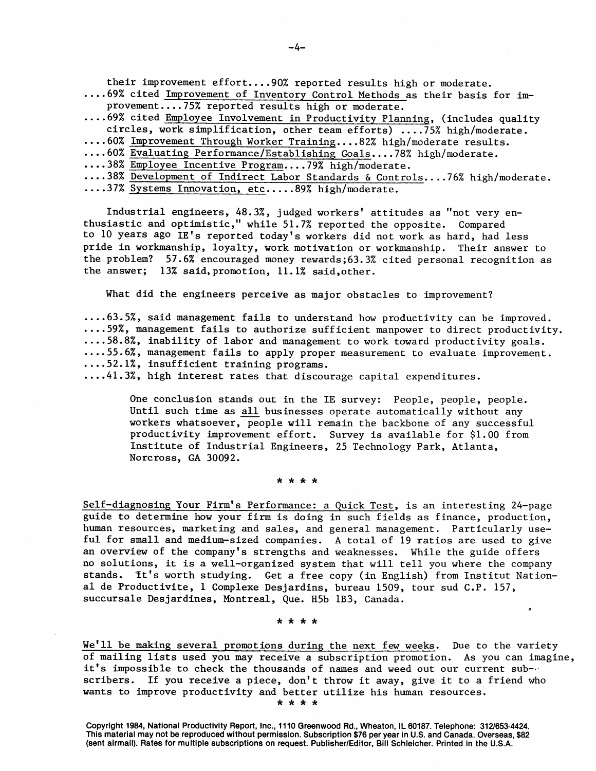their improvement effort....90% reported results high or moderate.

.... 69% cited Improvement of Inventory Control Methods as their basis for improvement....75% reported results high or moderate.

.... 69% cited Employee Involvement in Productivity Planning, (includes quality circles, work simplification, other team efforts) .... 75% high/moderate. -

- .... 60% Improvement Through Worker Training.... 82% high/moderate results.
- .... 60% Evaluating Performance/Establishing Goals....78% high/moderate.
- .... 38% Employee Incentive Program.... 79% high/moderate.
- .... 38% Development of Indirect Labor Standards & Controls. ... 76% high/moderate.
- .... 37% Systems Innovation, etc..... 89% high/moderate.

Industrial engineers, 48.3%, judged workers' attitudes as "not very enthusiastic and optimistic," while 51.7% reported the opposite. Compared to 10 years ago IE's reported today's workers did not work as hard, had less pride in workmanship, loyalty, work motivation or workmanship. Their answer to the problem? 57.6% encouraged money rewards;63.3% cited personal recognition as the answer; 13% said, promotion, 11.1% said,other.

What did the engineers perceive as major obstacles to improvement?

.... 63.5%, said management fails to understand how productivity can be improved. .... 59%, management fails to authorize sufficient manpower to direct productivity. .... 58.8%, inability of labor and management to work toward productivity goals. .... 55.6%, management fails to apply proper measurement to evaluate improvement. .... 52.l%, insufficient training programs.

.... 4l.3%, high interest rates that discourage capital expenditures.

One conclusion stands out in the IE survey: People, people, people. Until such time as all businesses operate automatically without any workers whatsoever, people will remain the backbone of any successful productivity improvement effort. Survey is available for \$1.00 from Institute of Industrial Engineers, 25 Technology Park, Atlanta, Norcross, GA 30092.

\* \* \* \*

Self-diagnosing Your Firm's Performance: a Quick Test, is an interesting 24-page guide to determine how your firm is doing in such fields as finance, production, human resources, marketing and sales, and general management. Particularly useful for small and medium-sized companies. A total of 19 ratios are used to give an overview of the company's strengths and weaknesses. While the guide offers no solutions, it is a well-organized system that will tell you where the company stands. ft's worth studying. Get a free copy (in English) from Institut National de Productivite, 1 Complexe Desjardins, bureau 1509, tour sud C.P. 157, succursale Desjardines, Montreal, Que. H5b 1B3, Canada.

\*\*\*\*

We'll be making several promotions during the next few weeks. Due to the variety of mailing lists used you may receive a subscription promotion. As you can imagine, it's impossible to check the thousands of names and weed out our current subscribers. If you receive a piece, don't throw it away, give it to a friend who wants to improve productivity and better utilize his human resources. \* \* \* \*

\*

**Copyright 1984, National Productivity Report, Inc., 11 10 Greenwood Rd., Wheaton, IL 60187. Telephone: 3121653-4424. This material may not be reproduced without permission. Subscription \$76 per year in U.S. and Canada. Overseas, \$82 (sent airmail). Rates for multiple subscriptions on request. PublisherlEditor, Bill Schleicher. Printed in the U.S.A.**